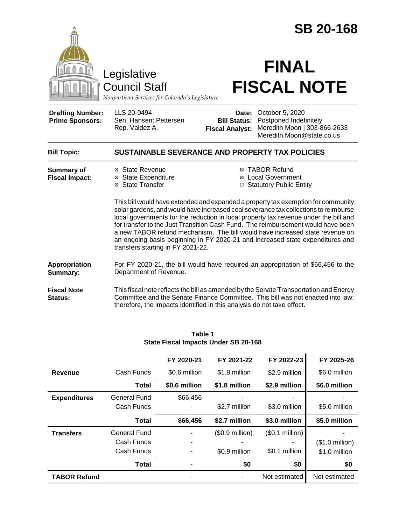|                                                                                        |                                                                                                                                                                                                                                                                                                                                                                                                                                                                                                                                                                                                                                                                                                                    |                                               | <b>SB 20-168</b>                                                                                                                                                         |  |  |  |
|----------------------------------------------------------------------------------------|--------------------------------------------------------------------------------------------------------------------------------------------------------------------------------------------------------------------------------------------------------------------------------------------------------------------------------------------------------------------------------------------------------------------------------------------------------------------------------------------------------------------------------------------------------------------------------------------------------------------------------------------------------------------------------------------------------------------|-----------------------------------------------|--------------------------------------------------------------------------------------------------------------------------------------------------------------------------|--|--|--|
| Legislative<br><b>Council Staff</b><br>Nonpartisan Services for Colorado's Legislature |                                                                                                                                                                                                                                                                                                                                                                                                                                                                                                                                                                                                                                                                                                                    | <b>FINAL</b><br><b>FISCAL NOTE</b>            |                                                                                                                                                                          |  |  |  |
| <b>Drafting Number:</b><br><b>Prime Sponsors:</b>                                      | LLS 20-0494<br>Sen. Hansen; Pettersen<br>Rep. Valdez A.                                                                                                                                                                                                                                                                                                                                                                                                                                                                                                                                                                                                                                                            | <b>Bill Status:</b><br><b>Fiscal Analyst:</b> | Date: October 5, 2020<br>Postponed Indefinitely<br>Meredith Moon   303-866-2633<br>Meredith.Moon@state.co.us                                                             |  |  |  |
| <b>Bill Topic:</b>                                                                     | SUSTAINABLE SEVERANCE AND PROPERTY TAX POLICIES                                                                                                                                                                                                                                                                                                                                                                                                                                                                                                                                                                                                                                                                    |                                               |                                                                                                                                                                          |  |  |  |
| <b>Summary of</b><br><b>Fiscal Impact:</b>                                             | <b>⊠ TABOR Refund</b><br>⊠ State Revenue<br><b>⊠</b> State Expenditure<br><b>⊠</b> Local Government<br>⊠ State Transfer<br>□ Statutory Public Entity<br>This bill would have extended and expanded a property tax exemption for community<br>solar gardens, and would have increased coal severance tax collections to reimburse<br>local governments for the reduction in local property tax revenue under the bill and<br>for transfer to the Just Transition Cash Fund. The reimbursement would have been<br>a new TABOR refund mechanism. The bill would have increased state revenue on<br>an ongoing basis beginning in FY 2020-21 and increased state expenditures and<br>transfers starting in FY 2021-22. |                                               |                                                                                                                                                                          |  |  |  |
| <b>Appropriation</b><br>Summary:                                                       | Department of Revenue.                                                                                                                                                                                                                                                                                                                                                                                                                                                                                                                                                                                                                                                                                             |                                               | For FY 2020-21, the bill would have required an appropriation of \$66,456 to the                                                                                         |  |  |  |
| <b>Fiscal Note</b><br>Status:                                                          | therefore, the impacts identified in this analysis do not take effect.                                                                                                                                                                                                                                                                                                                                                                                                                                                                                                                                                                                                                                             |                                               | This fiscal note reflects the bill as amended by the Senate Transportation and Energy<br>Committee and the Senate Finance Committee. This bill was not enacted into law; |  |  |  |

|                     |                                          | FY 2020-21     | FY 2021-22                        | FY 2022-23                       | FY 2025-26                                |
|---------------------|------------------------------------------|----------------|-----------------------------------|----------------------------------|-------------------------------------------|
| Revenue             | Cash Funds                               | \$0.6 million  | \$1.8 million                     | \$2.9 million                    | \$6.0 million                             |
|                     | Total                                    | \$0.6 million  | \$1.8 million                     | \$2.9 million                    | \$6.0 million                             |
| <b>Expenditures</b> | General Fund<br>Cash Funds               | \$66,456       | \$2.7 million                     | \$3.0 million                    | \$5.0 million                             |
|                     | <b>Total</b>                             | \$66,456       | \$2.7 million                     | \$3.0 million                    | \$5.0 million                             |
| <b>Transfers</b>    | General Fund<br>Cash Funds<br>Cash Funds |                | $($0.9$ million)<br>\$0.9 million | (\$0.1 million)<br>\$0.1 million | $($1.0 \text{ million})$<br>\$1.0 million |
|                     | <b>Total</b>                             | $\blacksquare$ | \$0                               | \$0                              | \$0                                       |
| <b>TABOR Refund</b> |                                          |                |                                   | Not estimated                    | Not estimated                             |

#### **Table 1 State Fiscal Impacts Under SB 20-168**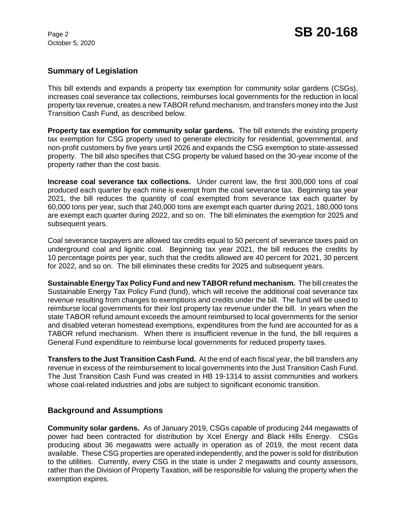# **Summary of Legislation**

This bill extends and expands a property tax exemption for community solar gardens (CSGs), increases coal severance tax collections, reimburses local governments for the reduction in local property tax revenue, creates a new TABOR refund mechanism, and transfers money into the Just Transition Cash Fund, as described below.

**Property tax exemption for community solar gardens.** The bill extends the existing property tax exemption for CSG property used to generate electricity for residential, governmental, and non-profit customers by five years until 2026 and expands the CSG exemption to state-assessed property. The bill also specifies that CSG property be valued based on the 30-year income of the property rather than the cost basis.

**Increase coal severance tax collections.** Under current law, the first 300,000 tons of coal produced each quarter by each mine is exempt from the coal severance tax. Beginning tax year 2021, the bill reduces the quantity of coal exempted from severance tax each quarter by 60,000 tons per year, such that 240,000 tons are exempt each quarter during 2021, 180,000 tons are exempt each quarter during 2022, and so on. The bill eliminates the exemption for 2025 and subsequent years.

Coal severance taxpayers are allowed tax credits equal to 50 percent of severance taxes paid on underground coal and lignitic coal. Beginning tax year 2021, the bill reduces the credits by 10 percentage points per year, such that the credits allowed are 40 percent for 2021, 30 percent for 2022, and so on. The bill eliminates these credits for 2025 and subsequent years.

**Sustainable Energy Tax Policy Fund and new TABOR refund mechanism.** The bill creates the Sustainable Energy Tax Policy Fund (fund), which will receive the additional coal severance tax revenue resulting from changes to exemptions and credits under the bill. The fund will be used to reimburse local governments for their lost property tax revenue under the bill. In years when the state TABOR refund amount exceeds the amount reimbursed to local governments for the senior and disabled veteran homestead exemptions, expenditures from the fund are accounted for as a TABOR refund mechanism. When there is insufficient revenue in the fund, the bill requires a General Fund expenditure to reimburse local governments for reduced property taxes.

**Transfers to the Just Transition Cash Fund.** At the end of each fiscal year, the bill transfers any revenue in excess of the reimbursement to local governments into the Just Transition Cash Fund. The Just Transition Cash Fund was created in HB 19-1314 to assist communities and workers whose coal-related industries and jobs are subject to significant economic transition.

### **Background and Assumptions**

**Community solar gardens.** As of January 2019, CSGs capable of producing 244 megawatts of power had been contracted for distribution by Xcel Energy and Black Hills Energy. CSGs producing about 36 megawatts were actually in operation as of 2019, the most recent data available. These CSG properties are operated independently, and the power is sold for distribution to the utilities. Currently, every CSG in the state is under 2 megawatts and county assessors, rather than the Division of Property Taxation, will be responsible for valuing the property when the exemption expires.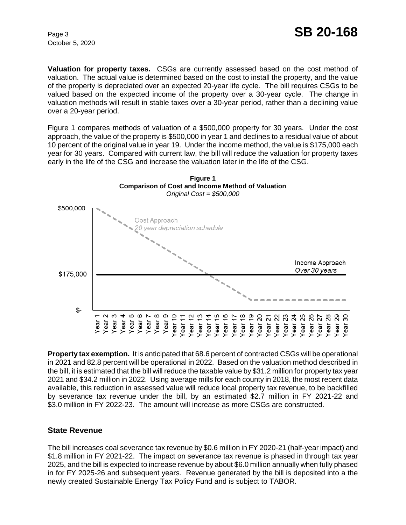**Valuation for property taxes.** CSGs are currently assessed based on the cost method of valuation. The actual value is determined based on the cost to install the property, and the value of the property is depreciated over an expected 20-year life cycle. The bill requires CSGs to be valued based on the expected income of the property over a 30-year cycle. The change in valuation methods will result in stable taxes over a 30-year period, rather than a declining value over a 20-year period.

Figure 1 compares methods of valuation of a \$500,000 property for 30 years. Under the cost approach, the value of the property is \$500,000 in year 1 and declines to a residual value of about 10 percent of the original value in year 19. Under the income method, the value is \$175,000 each year for 30 years. Compared with current law, the bill will reduce the valuation for property taxes early in the life of the CSG and increase the valuation later in the life of the CSG.



**Property tax exemption.** It is anticipated that 68.6 percent of contracted CSGs will be operational in 2021 and 82.8 percent will be operational in 2022. Based on the valuation method described in the bill, it is estimated that the bill will reduce the taxable value by \$31.2 million for property tax year 2021 and \$34.2 million in 2022. Using average mills for each county in 2018, the most recent data available, this reduction in assessed value will reduce local property tax revenue, to be backfilled by severance tax revenue under the bill, by an estimated \$2.7 million in FY 2021-22 and \$3.0 million in FY 2022-23. The amount will increase as more CSGs are constructed.

### **State Revenue**

The bill increases coal severance tax revenue by \$0.6 million in FY 2020-21 (half-year impact) and \$1.8 million in FY 2021-22. The impact on severance tax revenue is phased in through tax year 2025, and the bill is expected to increase revenue by about \$6.0 million annually when fully phased in for FY 2025-26 and subsequent years. Revenue generated by the bill is deposited into a the newly created Sustainable Energy Tax Policy Fund and is subject to TABOR.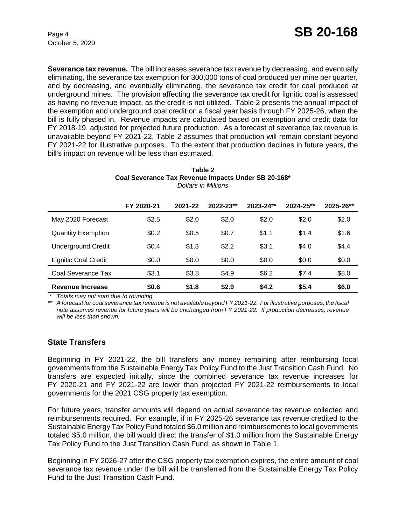**Severance tax revenue.** The bill increases severance tax revenue by decreasing, and eventually eliminating, the severance tax exemption for 300,000 tons of coal produced per mine per quarter, and by decreasing, and eventually eliminating, the severance tax credit for coal produced at underground mines. The provision affecting the severance tax credit for lignitic coal is assessed as having no revenue impact, as the credit is not utilized. Table 2 presents the annual impact of the exemption and underground coal credit on a fiscal year basis through FY 2025-26, when the bill is fully phased in. Revenue impacts are calculated based on exemption and credit data for FY 2018-19, adjusted for projected future production. As a forecast of severance tax revenue is unavailable beyond FY 2021-22, Table 2 assumes that production will remain constant beyond FY 2021-22 for illustrative purposes. To the extent that production declines in future years, the bill's impact on revenue will be less than estimated.

| Table Z                                             |  |
|-----------------------------------------------------|--|
| Coal Severance Tax Revenue Impacts Under SB 20-168* |  |
| Dollars in Millions                                 |  |

**Table 2** 

|                             | FY 2020-21 | 2021-22 | 2022-23** | 2023-24** | 2024-25** | 2025-26** |
|-----------------------------|------------|---------|-----------|-----------|-----------|-----------|
| May 2020 Forecast           | \$2.5      | \$2.0   | \$2.0     | \$2.0     | \$2.0     | \$2.0     |
| <b>Quantity Exemption</b>   | \$0.2      | \$0.5   | \$0.7     | \$1.1     | \$1.4     | \$1.6     |
| <b>Underground Credit</b>   | \$0.4      | \$1.3   | \$2.2     | \$3.1     | \$4.0     | \$4.4     |
| <b>Lignitic Coal Credit</b> | \$0.0      | \$0.0   | \$0.0     | \$0.0     | \$0.0     | \$0.0     |
| Coal Severance Tax          | \$3.1      | \$3.8   | \$4.9     | \$6.2     | \$7.4     | \$8.0     |
| Revenue Increase            | \$0.6      | \$1.8   | \$2.9     | \$4.2     | \$5.4     | \$6.0     |

 *\* Totals may not sum due to rounding.*

*\*\* A forecast for coal severance tax revenue is not available beyond FY 2021-22. For illustrative purposes, the fiscal note assumes revenue for future years will be unchanged from FY 2021-22. If production decreases, revenue will be less than shown.*

### **State Transfers**

Beginning in FY 2021-22, the bill transfers any money remaining after reimbursing local governments from the Sustainable Energy Tax Policy Fund to the Just Transition Cash Fund. No transfers are expected initially, since the combined severance tax revenue increases for FY 2020-21 and FY 2021-22 are lower than projected FY 2021-22 reimbursements to local governments for the 2021 CSG property tax exemption.

For future years, transfer amounts will depend on actual severance tax revenue collected and reimbursements required. For example, if in FY 2025-26 severance tax revenue credited to the Sustainable Energy Tax Policy Fund totaled \$6.0 million and reimbursements to local governments totaled \$5.0 million, the bill would direct the transfer of \$1.0 million from the Sustainable Energy Tax Policy Fund to the Just Transition Cash Fund, as shown in Table 1.

Beginning in FY 2026-27 after the CSG property tax exemption expires, the entire amount of coal severance tax revenue under the bill will be transferred from the Sustainable Energy Tax Policy Fund to the Just Transition Cash Fund.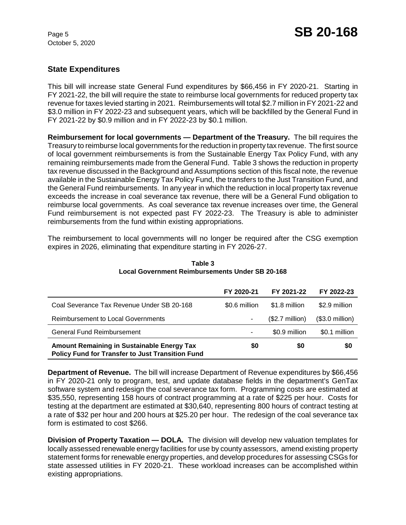## **State Expenditures**

This bill will increase state General Fund expenditures by \$66,456 in FY 2020-21. Starting in FY 2021-22, the bill will require the state to reimburse local governments for reduced property tax revenue for taxes levied starting in 2021. Reimbursements will total \$2.7 million in FY 2021-22 and \$3.0 million in FY 2022-23 and subsequent years, which will be backfilled by the General Fund in FY 2021-22 by \$0.9 million and in FY 2022-23 by \$0.1 million.

**Reimbursement for local governments — Department of the Treasury.** The bill requires the Treasury to reimburse local governments for the reduction in property tax revenue. The first source of local government reimbursements is from the Sustainable Energy Tax Policy Fund, with any remaining reimbursements made from the General Fund. Table 3 shows the reduction in property tax revenue discussed in the Background and Assumptions section of this fiscal note, the revenue available in the Sustainable Energy Tax Policy Fund, the transfers to the Just Transition Fund, and the General Fund reimbursements. In any year in which the reduction in local property tax revenue exceeds the increase in coal severance tax revenue, there will be a General Fund obligation to reimburse local governments. As coal severance tax revenue increases over time, the General Fund reimbursement is not expected past FY 2022-23. The Treasury is able to administer reimbursements from the fund within existing appropriations.

The reimbursement to local governments will no longer be required after the CSG exemption expires in 2026, eliminating that expenditure starting in FY 2026-27.

|                                                                                                              | FY 2020-21    | FY 2021-22               | FY 2022-23       |
|--------------------------------------------------------------------------------------------------------------|---------------|--------------------------|------------------|
| Coal Severance Tax Revenue Under SB 20-168                                                                   | \$0.6 million | \$1.8 million            | \$2.9 million    |
| <b>Reimbursement to Local Governments</b>                                                                    |               | $($2.7 \text{ million})$ | $($3.0$ million) |
| General Fund Reimbursement                                                                                   |               | \$0.9 million            | \$0.1 million    |
| <b>Amount Remaining in Sustainable Energy Tax</b><br><b>Policy Fund for Transfer to Just Transition Fund</b> | \$0           | \$0                      | \$0              |

**Table 3 Local Government Reimbursements Under SB 20-168**

**Department of Revenue.** The bill will increase Department of Revenue expenditures by \$66,456 in FY 2020-21 only to program, test, and update database fields in the department's GenTax software system and redesign the coal severance tax form. Programming costs are estimated at \$35,550, representing 158 hours of contract programming at a rate of \$225 per hour. Costs for testing at the department are estimated at \$30,640, representing 800 hours of contract testing at a rate of \$32 per hour and 200 hours at \$25.20 per hour. The redesign of the coal severance tax form is estimated to cost \$266.

**Division of Property Taxation — DOLA.** The division will develop new valuation templates for locally assessed renewable energy facilities for use by county assessors, amend existing property statement forms for renewable energy properties, and develop procedures for assessing CSGs for state assessed utilities in FY 2020-21. These workload increases can be accomplished within existing appropriations.